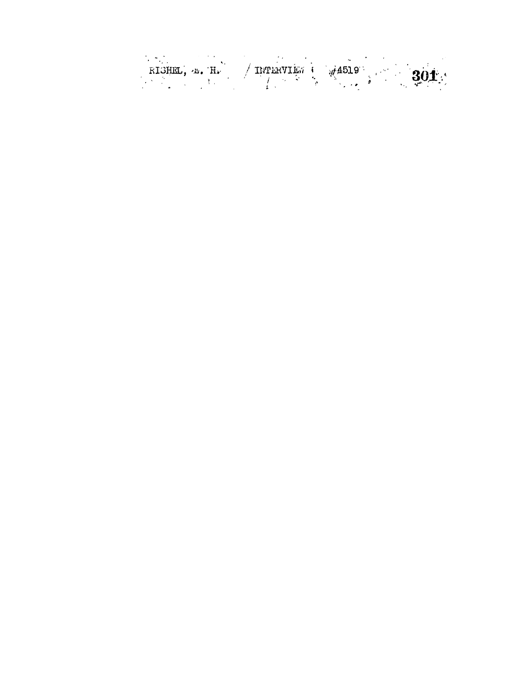RIGHEL,  $\mu$ . H.  $/$  INTERVIES  $\frac{1}{2}$   $\frac{1}{2}$   $\frac{201}{2}$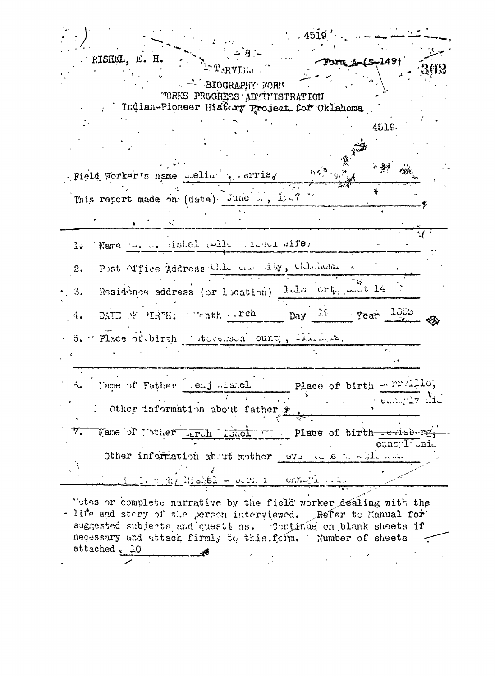|                                                                                                                              |                                                                                                                                                                                                                                                                                                                                                                                                                                                 | .4519'                                      |             |
|------------------------------------------------------------------------------------------------------------------------------|-------------------------------------------------------------------------------------------------------------------------------------------------------------------------------------------------------------------------------------------------------------------------------------------------------------------------------------------------------------------------------------------------------------------------------------------------|---------------------------------------------|-------------|
| RISHMI., E. H.<br>$\langle \cdot \rangle = \sum_{\mathbf{r} \in \mathbf{T}} \mathbb{P}_{\mathbf{r}} \mathbb{P}_{\mathbf{r}}$ |                                                                                                                                                                                                                                                                                                                                                                                                                                                 | Form A-(S-149)                              |             |
| - BIOGRAPHY FORM<br>"ORKS PROGRESS ADMITISTRATION<br>Indian-Pioneer History Project for Oklahoma                             |                                                                                                                                                                                                                                                                                                                                                                                                                                                 |                                             |             |
|                                                                                                                              |                                                                                                                                                                                                                                                                                                                                                                                                                                                 | 4519.                                       |             |
| Field Worker's name stelion a carris,                                                                                        | $\label{eq:3.1} \begin{split} \mathbb{E}_{\mathbb{E}}\left(q_{1}^{(0)}\right) & = \mathbb{E}_{\mathbb{E}}\left(q_{1}^{(0)}\right) \\ & = \mathbb{E}_{\mathbb{E}}\left(q_{1}^{(0)}\right) & = \mathbb{E}_{\mathbb{E}}\left(q_{1}^{(0)}\right) \\ & = \mathbb{E}_{\mathbb{E}}\left(q_{1}^{(0)}\right) & = \mathbb{E}_{\mathbb{E}}\left(q_{1}^{(0)}\right) & = \mathbb{E}_{\mathbb{E}}\left(q_{1}^{(0)}\right) & = \mathbb{E}_{\mathbb{E}}\left(q$ | "舞" 湖                                       |             |
| This report made on (date) June , 1:07                                                                                       |                                                                                                                                                                                                                                                                                                                                                                                                                                                 |                                             |             |
|                                                                                                                              |                                                                                                                                                                                                                                                                                                                                                                                                                                                 |                                             |             |
| Name the medicinel (wild the medicinely<br>13                                                                                |                                                                                                                                                                                                                                                                                                                                                                                                                                                 |                                             |             |
| Post Office Address Chlo case Aby, Chlohome<br>2.                                                                            |                                                                                                                                                                                                                                                                                                                                                                                                                                                 |                                             |             |
| Residènce address (or location) lele crt. muit l'a<br>3.                                                                     |                                                                                                                                                                                                                                                                                                                                                                                                                                                 |                                             |             |
| DATE OF HATH: $\cdots$ nth $\cdots$ ch<br>4.1                                                                                |                                                                                                                                                                                                                                                                                                                                                                                                                                                 | $Day \frac{10}{100}$ $Year \frac{100}{100}$ |             |
| 5. Place of birth stovement ount, thinks.                                                                                    |                                                                                                                                                                                                                                                                                                                                                                                                                                                 |                                             |             |
|                                                                                                                              |                                                                                                                                                                                                                                                                                                                                                                                                                                                 |                                             |             |
| Mame of Father, enj Assel                                                                                                    |                                                                                                                                                                                                                                                                                                                                                                                                                                                 | Place of birth = PP/ille,                   |             |
| Other information about father                                                                                               |                                                                                                                                                                                                                                                                                                                                                                                                                                                 |                                             |             |
| Name of ther and islel Place of birth emisters,<br>7.                                                                        |                                                                                                                                                                                                                                                                                                                                                                                                                                                 |                                             |             |
| Other information about mother leve to de to while were                                                                      |                                                                                                                                                                                                                                                                                                                                                                                                                                                 |                                             | ennoyl'unia |
| the Rishel - sorn is connectional.                                                                                           |                                                                                                                                                                                                                                                                                                                                                                                                                                                 |                                             |             |

"otes or complete narrative by the field worker dealing with the - life and stery of the person interviewed. Refer to Manual for suggested subjects and questions. Continue on blank sheets if necessary and attach firmly to this form. Number of sheets  $\tilde{\cdot}$ attached. 10 <u>en al de la companya de la companya de la companya de la companya de la companya de la companya de la companya </u>  $\langle\star\rangle$  .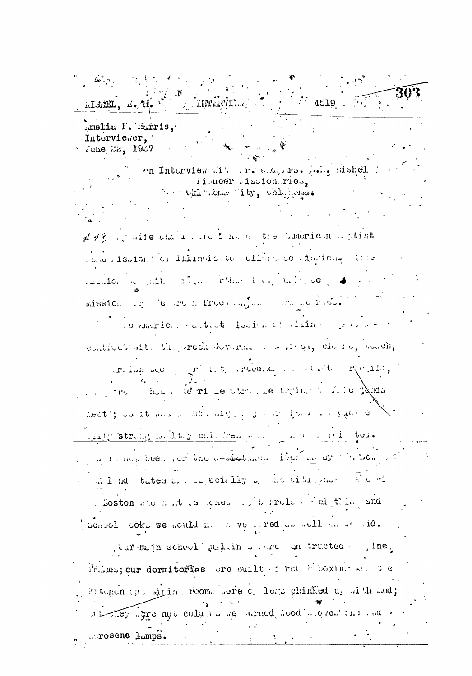4519 Timariti hISBE. d. 10. Amelia F. Harris. Intervieser. June 22, 1967 an Interview alt . r. a.e. rs. L. . dishel Hisneer Mission.ries. ... Okl Mone Tity, Chlyhons. at x g . juite and i . Jie 5 hots the theories hoptist form ishion of limits to the model ishion. It is liberto a air riga plan del dalegue. mission of learn a frequency and the important the memorical aptient footon of alifications contractant. She greek doversment was say that by south,  $x$ . Lug deo  $y^2$  is the recognition of  $x^2$  (  $x^2$  (  $x^2$  (  $x^2$  (  $x^2$ )) The show of Crite stresse things to he pads apot'; as it was a lact algory of the form in paper. inty strong is littly chindren was a set of the text a 1 mos been just the americance 120 months to be . mil nd tates de contecidivo, monitimame formi . Soston and had the leader of the product of clipting and pensol coks we would in a verticed as well as we sid. jurem jn scheol willing and undructed pine, Primem; our dormitories are puilt in reach boxing and the gritenen in sining rooms sere c. legs chinked up sith and; Tey spe not column no memod hood mo ren in ma ...rosene lomps.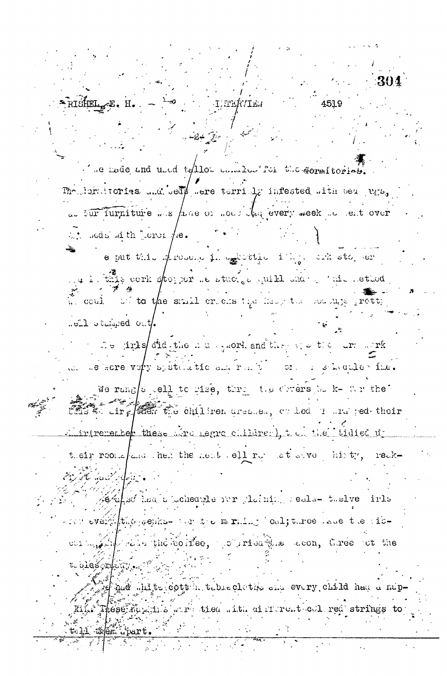**LEERTIES** ".e made and used to the committee the correctoriate." The laraitories and bed# were terrially infested with bea ugs, as sur furniture was have or not the every meek as ent over  $\therefore$  seds in the cross  $\#$ e.  $e$  put this stresses is exterior in the stress or . this cerk storper to stacist quite the pair of the letted  $\tilde{X}$  could be to the small criters the least the nodulity pretty well oberaged out the jight did the number of and they we then are light in the series vory by static stream real of the static static static static We rang spell to gise, throw the obvers by k- for the to dirg ster the children areased, or led in the ped their indrivementer these sire regre children, the the tidied in their rooms and hen the next left run at sive, histy, reakaletto decent o clote to 46/ahsd had a (chedule for plaining reals- taslve firls  $\sim$  1000 every the people of the minimal coljune . see the tie-Ledie the collee, popriet the acon, three ot the to bles relatives of gud white cott in table clutify one every child had a nap-These names with tied with airrent coll red strings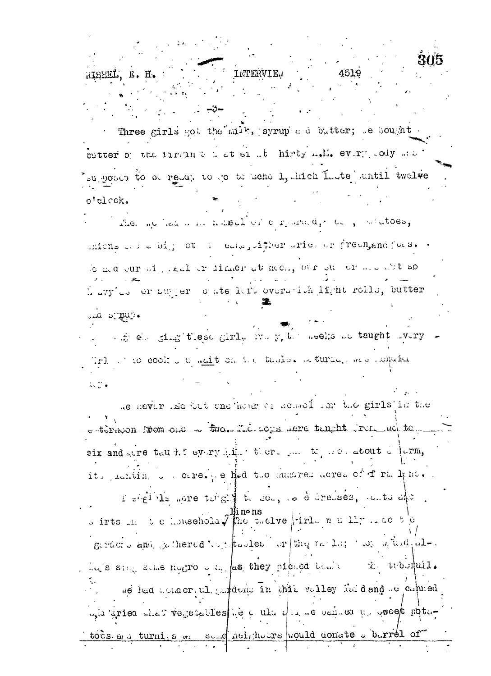INTERVIE E.H. Three girls got the milk, syrup a d butter; le bought butter of the firstness at einst hirty make every lody mas supposed to be ready to go to scho 1, hich Laste antil twelve o'cleck. the method was noted or corporate of a matoes, unions of a big of i calculation aries or freengend for s. le ma cur oi, leal er dimer at mon, our su er me abt so h avy'ds or sugger o ate hert overstick hight rolls, butter .cum a ma where the single search in the resolution of the start of the start of the start of the start of the start of the start of the start of the start of the start of the start of the start of the start of the start of the star Trl . to cook I a mait on the table. In turnal mas hope in  $1.77$ me never had but one hold or sened for the girls in the -torion room one - two. The Logs nere telept run we to six and gere tau his every him there you to go about a jurm, it, initing the care. (e Hed the annared deres of f rm lyne.) T shell is more tangless to sem, to elerenses, anticante. s irts may be household  $\sqrt{\frac{2}{3}}$  factor  $\frac{1}{3}$  for  $\frac{1}{3}$  and  $\frac{1}{3}$  and  $\frac{1}{3}$  and  $\frac{1}{3}$  be the geracio and cathered vor tooled or the reality we a was did, alind's sing some notive of the property of the second the thought . we had monaer, all and deno in this valley laid and separated wid gried what versetables we a ultra we been ed we get potatocs a i turnis a send neighbors would conste s berrel of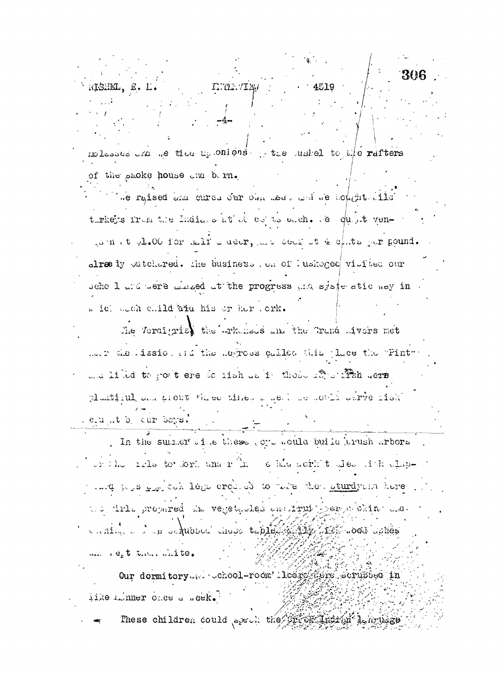- 13 T.THE.VIEM

molasses that we tiss up onloast the fashed to the rafters of the shoke house and bern.

se reised and cured our old sed and se top fit ild turkets from the Indians at of cepts each. . e quot vento must gl.00 for tall a deer, and deal at & chits par pound. already outchered. The business . on of lushoged visited our scho I and were alsaed at the progress and systematic way in . icl duch child are his or her . ork.

The Veral grist the writerious and the Trand Avers met mer the lission and the hegroes called this place the "Pint" and lined to go t ere is rish as it those affect fish were plantiquel and grout three times a get we sothe sarve rish

. e.u..t b. cur boys.

In the summer wille these vote would build trush arbors or the 1rls to the man in editomorphic of the international the conditions was considered to the condition of the condition of the condition of the condition of the conditions of the conditions of the conditions of the conditions of the conditions of the conditions of the condition tio into prepared the veget theoles and input press of oking and. CARIA COLORED AND CONTROL CONTROL DESCRIPTION AND COLORED un regt then white.

Our dormitory the school-room' lless the scrupped in iike minner once a week.

These children could speak the the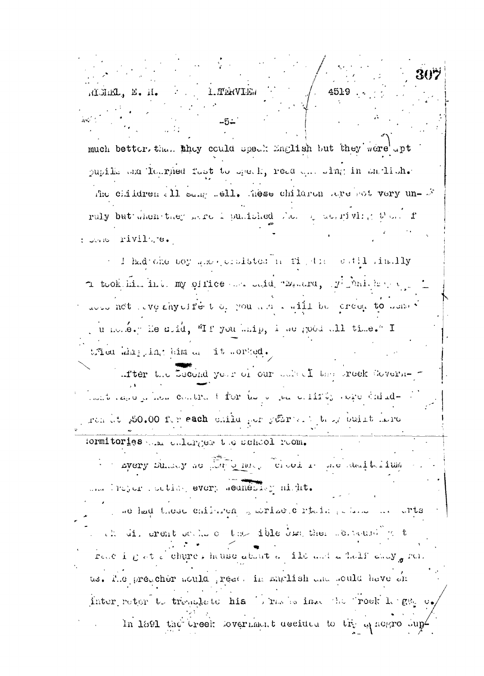REMEL, E. H. 4519 1. TERVIE. much better, than they could upselt English but they were upt pupille and loarned fust to speak, read and single in antiche-The children all sampledly hese children are not very un- S ruly but when they made I punished then of actricent with them. I : Jone rivile, e. I had one coy and goodsteam rights catil inclly  $\tau$  took him into my office we daid "Banard,  $y^{\dagger}$  which we are dood not leve shy effect of you will suit to creed to done?

, u nomé. Tie drid, "If you maip, i we good all time." I tfied whip int him as it sorked.

after the Lecond year of our saked the greek Covernhant land in her contract for the decade of the expectation of rendet 350.00 fer each unike ger years. I take ouist dere

formitories whe enlarger the school room. s - avery summy so pathy here. The out is no maintaining una l'rejer l'oction every semeries misit.

ne had these chilaren swrize cartein pelane in arts ch di crent soche o the ible dan then second part reach gat d'obures house about a ile aut a half eaux groi us. I.e preacher would read. in marlish and sould have an inter reter to tremplate his borns in the holive rock length of In 1891 the treek lover ment decided to try a negro lup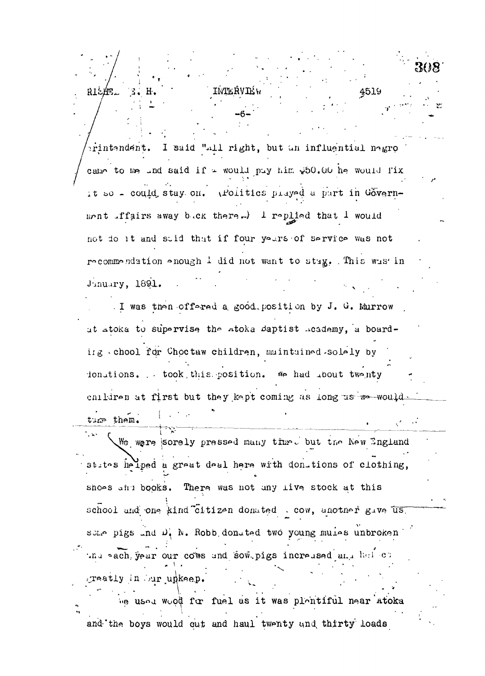rintendent. I said "all right, but an influential negro came to me und said if = would puy him w50.00 he would fix it so - could stay on. (Politics prayed a part in Government iffairs away buck there.) I replied that I would not do it and stid that if four yours of service was not recommendation enough 1 did not want to stag. This was in Jinuary, 1891. I was then offered a good position by J. G. Murrow ut atoka to supervise the atoka daptist heademy, a boarding chool for Choctaw children, maintained solely by ionations. . took, this position. We had about twenty enildren at first but they kept coming as long us we would turp them.

4519

RISAE.

Ŧ

We were sorely pressed many time. but the New England states helped a great deal here with don-tions of clothing, shoos and books. There was not any live stock at this school and one kind citizen donated . cow, another gave us. some pigs and D. N. Robb donated two young mules unbroken thu each year our cows and sow pigs increased and halvet greatly in Our unkeep. ne used wood for fuel as it was plentiful near atoka

and the boys would cut and haul twenty and thirty loads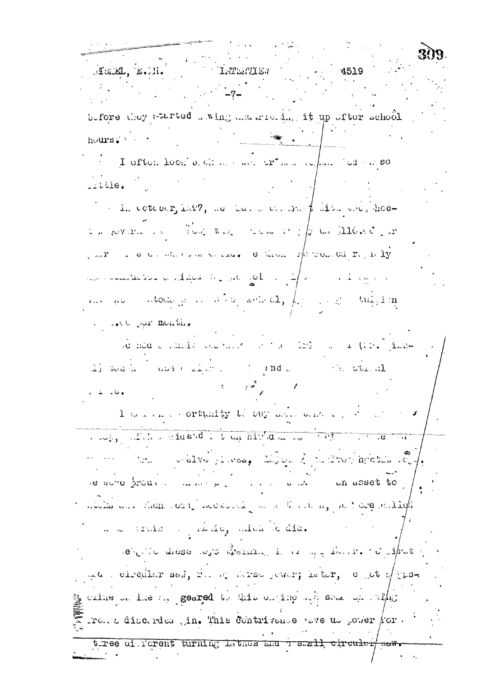**TRIPERVIET** FERM, E.A. 4519 before they werted swing and riciding it up ofter school hours. I often look a general of the way of the second for some  $\therefore$   $\text{Lle.}$  $\therefore$  in ectodor, 1897, we have one map function and hos- $\sigma_{\rm m}$  for  $x_{\rm m}$  ,  $\sigma_{\rm m} = 1$  and  $\sigma_{\rm m} = 1$  and  $\sigma_{\rm m} = 1$  and  $\sigma_{\rm m} = 110$  for  $\sigma_{\rm m} = 20$  $\sqrt{2\pi}$  and construction corrected the subset of the second section of  $\mathbf{r}_i$  and  $\mathbf{y}_i$  $\mathcal{L}_{\text{c}}$  , and the fibral set of the space of  $\mathcal{L}_{\text{c}}$  , and  $\mathcal{L}_{\text{c}}$  , and  $\mathcal{L}_{\text{c}}$  , and the set of  $\mathcal{L}_{\text{c}}$ in is the state of in when same  $a$ ,  $f_{ij}$  and this im a soll put menting sie med einalde beeklikhte hat der 123 man an (125) jake-(2) South a cost contexts of the conduction of the advantage المستحدث والمكانين I have an a cortually belong who was a live when the same states of the contribution of the same of the same of the same of the same of the same of the same of the same of the same of the same of the same of the same of the same of the same of the same of the same o And the control of the computation of the second control of the computation of the control of the control of the re nome production and supply a state of the asset to micha and thome of n' deoded the state of the me of the state of the - a a stris : sado qual de dic. a che di contra la contra di contra la contra della contra della della contra di all'unione di all'unione di a and diredient sent, for a derse person; is the, office of thesg cuine on the correct to this coming with some was within . Tol. a discreted the finis contrivance very dispersion of  $\alpha$ tree ai rorent turning Lathes and reseall circules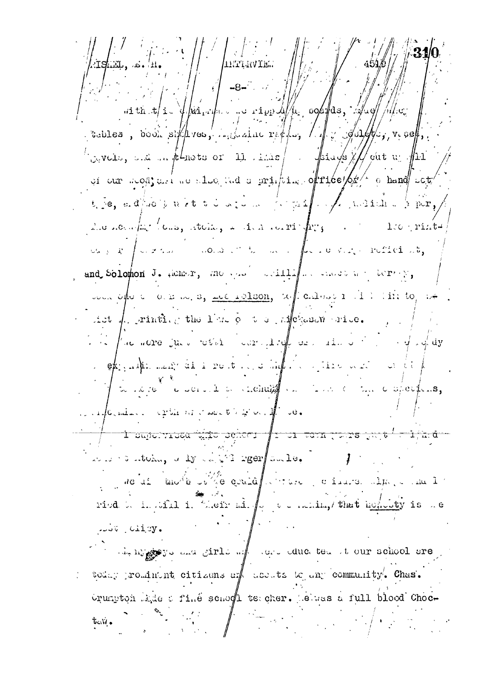**LITTLEVTI**  $-8-7.$  $\pi$  it is  $\pi/1$  . if  $\pi/1$  is the state of  $\pi/1$  is  $\pi/1$  if  $\pi/1$  is  $\pi/1$ . tobles, door six res, intraine refler,  $\Box$  ,  $\Diamond$  of  $\Box$ ,  $\Diamond$  ,  $\Diamond$  $\log \text{vets}$ , and in follows or 11. The  $/$  - follows  $\#N$  out we flit of our scop, and no stoom and a printing of rice of  $\frac{1}{2}$  o hand sot  $t_i$  e, and not need to do the mean  $\ell$  the mean  $\ell$  means  $\frac{1}{2}$  por, whose interesting the state of  $\int_{\mathbb{R}^d} \mathbb{R}^d$  is the set of  $\int_{\mathbb{R}^d} \mathbb{R}^d$  is the set of  $\int_{\mathbb{R}^d} \mathbb{R}^d$  is the set of  $\int_{\mathbb{R}^d} \mathbb{R}^d$  is the set of  $\int_{\mathbb{R}^d} \mathbb{R}^d$  is the set of  $\int_{\$  $\omega_{\alpha,\beta}$  of  $\omega$  is the conduct to an exploration of  $\beta$  and  $\beta$  is the set of  $\omega_{\alpha}$ and Solomon J. Hens, measured aciliated as exact the terms, vois open on mode, se release of called  $i$  is the top of ist  $\int_{\Omega}$  rinth g the limit of the superiodicitie. The place more just what correctly or the open of  $\phi$  of  $\phi$  $\mathcal{L} = \mathsf{e} \mathsf{k}_1$  , which is not in the set of the set of the set of the set of the  $\mathsf{k}_1$ of a love could a change of the complete. aforming extensions of the content of the set  $\frac{1}{\sqrt{1-\cos^2\theta} \sin^2\theta}$  ,  $\frac{1}{\sqrt{1-\cos^2\theta} \sin^2\theta}$  ,  $\frac{1}{\sqrt{1-\cos^2\theta} \sin^2\theta}$  ,  $\frac{1}{\sqrt{1-\cos^2\theta} \sin^2\theta}$ where I attain, a ly complete reef such e. alle di tenorie politice gould provide la caracterature and I t riod by install in their all  $\int_{\gamma}$  or matting that homeover is no LLOV CAISY. in the my government sinds with the serve due to the school are : today prominent citizens of accute to any community. Chas. orumpton lade a fine senodi teacher. Lehras a full blood Choctesti.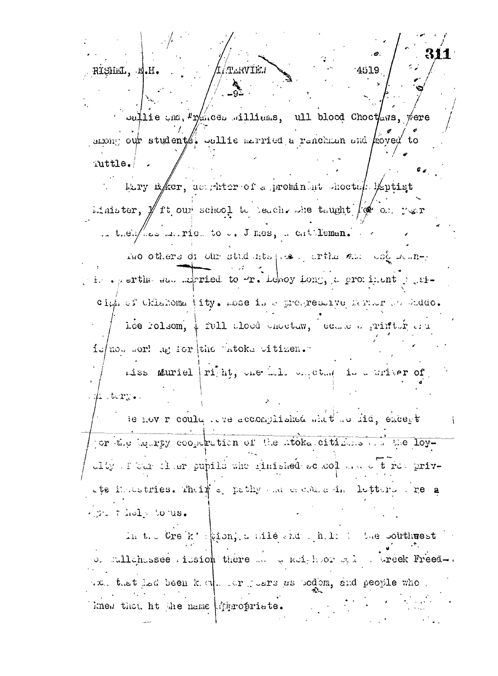RISHEL, E **ATLINTE!** 4519 Julie and Prances aillims, ull blood Choctaws, were anong our students, sullie married a ranchman and hoved to Tuttle. Liry Eker, as thereof a premining cheetek leptist

idaister,  $\mathcal Y$  ft our school to beach some taught  $\int \phi$  or ver in their less mairies to b. J mes, a cat leman.

I'mo others di our students possion the and collectionis sperthe same expried to  $\forall$ r. Leroy Long, a prominent posiciph of Chlahoma (ity. mose in a progressive farmer of Guddo. Lee rolsom, 4 full aloud enectaw, educe a printir and is/no. sor! ag for the "atoke witizen." miss muriel | right, one hole one that is a writer of

 $\#$   $\text{t}$   $\text{t}$   $\text{t}$   $\text{t}$   $\text{t}$ 

le nov r could the accomplished whit he fid, except for the lengty coopertion of the litoke citizens and the loythe situant of some public time interesting the set of the privthe intestries. Their specify and elected in letters are a  $\sim$  of  $\sim$   $t$  and  $\sim$   $t$  or  $\alpha$ s.

in the Creik's gion, a sile and the file the southwest of sullahassee rission there are a noighbor said a creek Freedwith that had been kind. It justs as bodom, and people who i knew that ht the name intropriate.